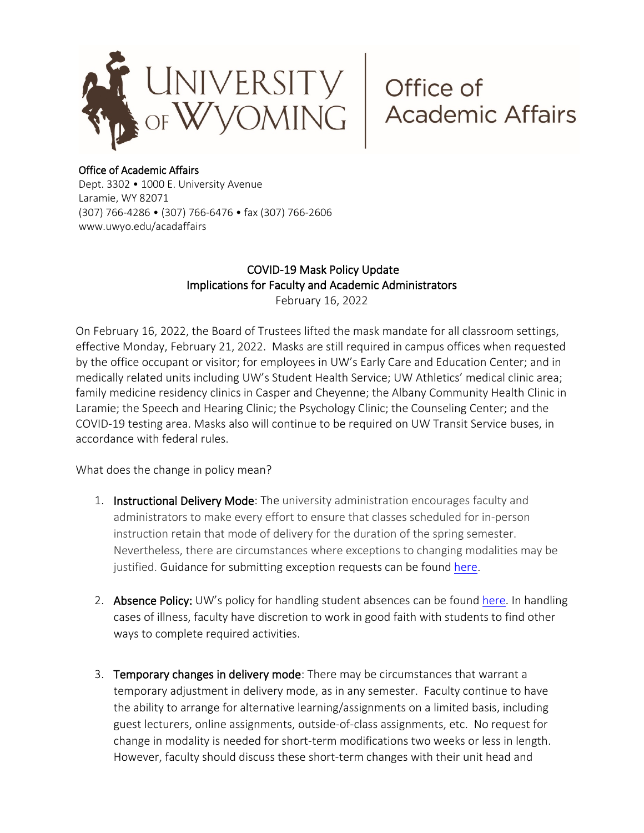

## Office of Academic Affairs

Dept. 3302 • 1000 E. University Avenue Laramie, WY 82071 (307) 766-4286 • (307) 766-6476 • fax (307) 766-2606 www.uwyo.edu/acadaffairs

## COVID-19 Mask Policy Update Implications for Faculty and Academic Administrators February 16, 2022

On February 16, 2022, the Board of Trustees lifted the mask mandate for all classroom settings, effective Monday, February 21, 2022. Masks are still required in campus offices when requested by the office occupant or visitor; for employees in UW's Early Care and Education Center; and in medically related units including UW's Student Health Service; UW Athletics' medical clinic area; family medicine residency clinics in Casper and Cheyenne; the Albany Community Health Clinic in Laramie; the Speech and Hearing Clinic; the Psychology Clinic; the Counseling Center; and the COVID-19 testing area. Masks also will continue to be required on UW Transit Service buses, in accordance with federal rules.

What does the change in policy mean?

- 1. Instructional Delivery Mode: The university administration encourages faculty and administrators to make every effort to ensure that classes scheduled for in-person instruction retain that mode of delivery for the duration of the spring semester. Nevertheless, there are circumstances where exceptions to changing modalities may be justified. Guidance for submitting exception requests can be found [here.](http://www.uwyo.edu/acadaffairs/announcements/temp-policies.html)
- 2. Absence Policy: UW's policy for handling student absences can be found [here.](http://www.uwyo.edu/acadaffairs/policies/sapp.html) In handling cases of illness, faculty have discretion to work in good faith with students to find other ways to complete required activities.
- 3. Temporary changes in delivery mode: There may be circumstances that warrant a temporary adjustment in delivery mode, as in any semester. Faculty continue to have the ability to arrange for alternative learning/assignments on a limited basis, including guest lecturers, online assignments, outside-of-class assignments, etc. No request for change in modality is needed for short-term modifications two weeks or less in length. However, faculty should discuss these short-term changes with their unit head and